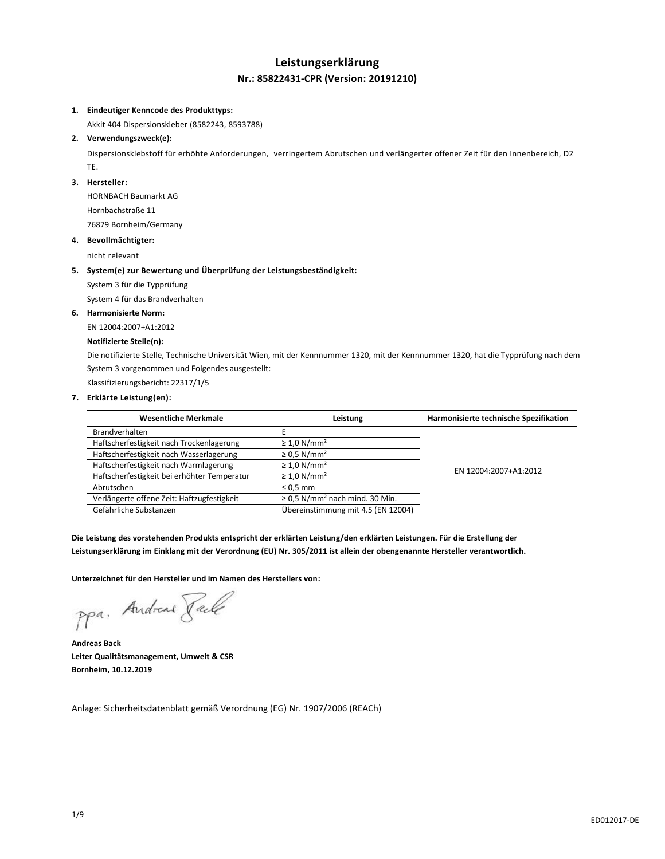## **Leistungserklärung Nr.: 85822431-CPR (Version: 20191210)**

#### **1. Eindeutiger Kenncode des Produkttyps:**

Akkit 404 Dispersionskleber (8582243, 8593788)

#### **2. Verwendungszweck(e):**

Dispersionsklebstoff für erhöhte Anforderungen, verringertem Abrutschen und verlängerter offener Zeit für den Innenbereich, D2 TE.

#### **3. Hersteller:**

HORNBACH Baumarkt AG Hornbachstraße 11 76879 Bornheim/Germany

#### **4. Bevollmächtigter:**

nicht relevant

#### **5. System(e) zur Bewertung und Überprüfung der Leistungsbeständigkeit:**

System 3 für die Typprüfung

System 4 für das Brandverhalten

#### **6. Harmonisierte Norm:**

EN 12004:2007+A1:2012

## **Notifizierte Stelle(n):**

Die notifizierte Stelle, Technische Universität Wien, mit der Kennnummer 1320, mit der Kennnummer 1320, hat die Typprüfung nach dem System 3 vorgenommen und Folgendes ausgestellt:

Klassifizierungsbericht: 22317/1/5

### **7. Erklärte Leistung(en):**

| <b>Wesentliche Merkmale</b>                 | Leistung                                        | Harmonisierte technische Spezifikation |
|---------------------------------------------|-------------------------------------------------|----------------------------------------|
| <b>Brandverhalten</b>                       |                                                 |                                        |
| Haftscherfestigkeit nach Trockenlagerung    | $\geq 1.0$ N/mm <sup>2</sup>                    |                                        |
| Haftscherfestigkeit nach Wasserlagerung     | $\geq$ 0.5 N/mm <sup>2</sup>                    |                                        |
| Haftscherfestigkeit nach Warmlagerung       | $\geq 1.0$ N/mm <sup>2</sup>                    | EN 12004:2007+A1:2012                  |
| Haftscherfestigkeit bei erhöhter Temperatur | $\geq 1.0$ N/mm <sup>2</sup>                    |                                        |
| Abrutschen                                  | $\leq 0.5$ mm                                   |                                        |
| Verlängerte offene Zeit: Haftzugfestigkeit  | $\geq$ 0,5 N/mm <sup>2</sup> nach mind. 30 Min. |                                        |
| Gefährliche Substanzen                      | Übereinstimmung mit 4.5 (EN 12004)              |                                        |

**Die Leistung des vorstehenden Produkts entspricht der erklärten Leistung/den erklärten Leistungen. Für die Erstellung der Leistungserklärung im Einklang mit der Verordnung (EU) Nr. 305/2011 ist allein der obengenannte Hersteller verantwortlich.**

**Unterzeichnet für den Hersteller und im Namen des Herstellers von:**

ppa. Andreas Facto

**Andreas Back Leiter Qualitätsmanagement, Umwelt & CSR Bornheim, 10.12.2019**

Anlage: Sicherheitsdatenblatt gemäß Verordnung (EG) Nr. 1907/2006 (REACh)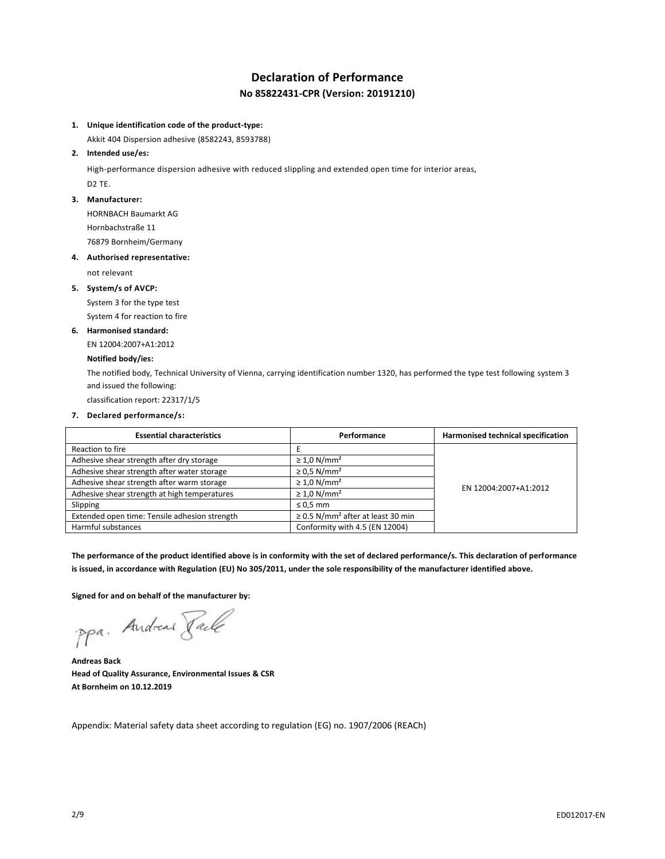# **Declaration of Performance No 85822431-CPR (Version: 20191210)**

### **1. Unique identification code of the product-type:**

Akkit 404 Dispersion adhesive (8582243, 8593788)

#### **2. Intended use/es:**

High-performance dispersion adhesive with reduced slippling and extended open time for interior areas, D2 TE.

#### **3. Manufacturer:**

HORNBACH Baumarkt AG Hornbachstraße 11

76879 Bornheim/Germany

#### **4. Authorised representative:**

not relevant

## **5. System/s of AVCP:**

System 3 for the type test System 4 for reaction to fire

#### **6. Harmonised standard:**

EN 12004:2007+A1:2012

## **Notified body/ies:**

The notified body, Technical University of Vienna, carrying identification number 1320, has performed the type test following system 3 and issued the following:

classification report: 22317/1/5

#### **7. Declared performance/s:**

| <b>Essential characteristics</b>              | Performance                                        | Harmonised technical specification |
|-----------------------------------------------|----------------------------------------------------|------------------------------------|
| Reaction to fire                              |                                                    |                                    |
| Adhesive shear strength after dry storage     | $\geq 1.0$ N/mm <sup>2</sup>                       |                                    |
| Adhesive shear strength after water storage   | $\geq$ 0.5 N/mm <sup>2</sup>                       | EN 12004:2007+A1:2012              |
| Adhesive shear strength after warm storage    | $\geq 1.0$ N/mm <sup>2</sup>                       |                                    |
| Adhesive shear strength at high temperatures  | $\geq 1.0$ N/mm <sup>2</sup>                       |                                    |
| Slipping                                      | $\leq 0.5$ mm                                      |                                    |
| Extended open time: Tensile adhesion strength | $\geq$ 0.5 N/mm <sup>2</sup> after at least 30 min |                                    |
| Harmful substances                            | Conformity with 4.5 (EN 12004)                     |                                    |

**The performance of the product identified above is in conformity with the set of declared performance/s. This declaration of performance is issued, in accordance with Regulation (EU) No 305/2011, under the sole responsibility of the manufacturer identified above.**

**Signed for and on behalf of the manufacturer by:**

ppa. Andreas Pack

**Andreas Back Head of Quality Assurance, Environmental Issues & CSR At Bornheim on 10.12.2019**

Appendix: Material safety data sheet according to regulation (EG) no. 1907/2006 (REACh)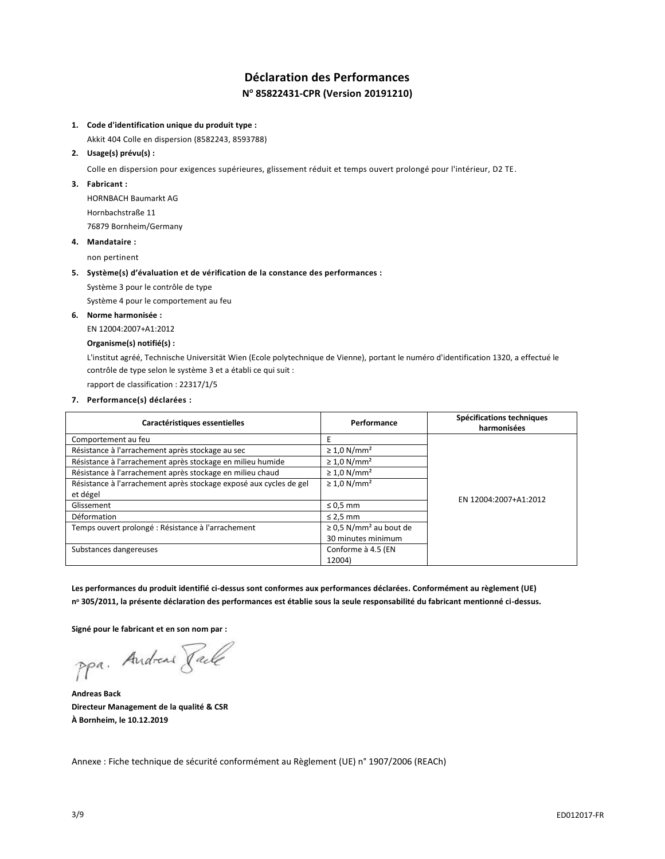# **Déclaration des Performances N <sup>o</sup> 85822431-CPR (Version 20191210)**

### **1. Code d'identification unique du produit type :**

Akkit 404 Colle en dispersion (8582243, 8593788)

#### **2. Usage(s) prévu(s) :**

Colle en dispersion pour exigences supérieures, glissement réduit et temps ouvert prolongé pour l'intérieur, D2 TE.

#### **3. Fabricant :**

HORNBACH Baumarkt AG Hornbachstraße 11 76879 Bornheim/Germany

## **4. Mandataire :**

non pertinent

#### **5. Système(s) d'évaluation et de vérification de la constance des performances :**

Système 3 pour le contrôle de type

Système 4 pour le comportement au feu

## **6. Norme harmonisée :**

EN 12004:2007+A1:2012

#### **Organisme(s) notifié(s) :**

L'institut agréé, Technische Universität Wien (Ecole polytechnique de Vienne), portant le numéro d'identification 1320, a effectué le contrôle de type selon le système 3 et a établi ce qui suit :

rapport de classification : 22317/1/5

## **7. Performance(s) déclarées :**

| Caractéristiques essentielles                                      | Performance                             | Spécifications techniques<br>harmonisées |
|--------------------------------------------------------------------|-----------------------------------------|------------------------------------------|
| Comportement au feu                                                | Ε                                       |                                          |
| Résistance à l'arrachement après stockage au sec                   | $\geq 1.0$ N/mm <sup>2</sup>            |                                          |
| Résistance à l'arrachement après stockage en milieu humide         | $\geq 1.0$ N/mm <sup>2</sup>            |                                          |
| Résistance à l'arrachement après stockage en milieu chaud          | $\geq 1.0$ N/mm <sup>2</sup>            |                                          |
| Résistance à l'arrachement après stockage exposé aux cycles de gel | $\geq 1.0$ N/mm <sup>2</sup>            |                                          |
| et dégel                                                           |                                         | EN 12004:2007+A1:2012                    |
| Glissement                                                         | $\leq 0.5$ mm                           |                                          |
| Déformation                                                        | $\leq$ 2,5 mm                           |                                          |
| Temps ouvert prolongé : Résistance à l'arrachement                 | $\geq$ 0.5 N/mm <sup>2</sup> au bout de |                                          |
|                                                                    | 30 minutes minimum                      |                                          |
| Substances dangereuses                                             | Conforme à 4.5 (EN                      |                                          |
|                                                                    | 12004)                                  |                                          |

**Les performances du produit identifié ci-dessus sont conformes aux performances déclarées. Conformément au règlement (UE) n <sup>o</sup> 305/2011, la présente déclaration des performances est établie sous la seule responsabilité du fabricant mentionné ci-dessus.**

**Signé pour le fabricant et en son nom par :**

ppa. Andreas Faile

**Andreas Back Directeur Management de la qualité & CSR À Bornheim, le 10.12.2019**

Annexe : Fiche technique de sécurité conformément au Règlement (UE) n° 1907/2006 (REACh)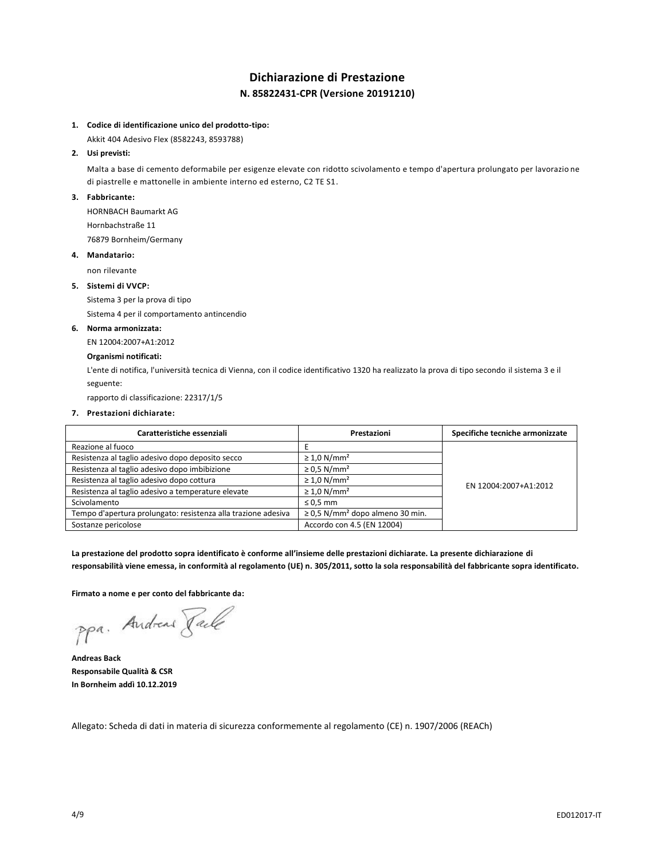# **Dichiarazione di Prestazione N. 85822431-CPR (Versione 20191210)**

## **1. Codice di identificazione unico del prodotto-tipo:**

Akkit 404 Adesivo Flex (8582243, 8593788)

## **2. Usi previsti:**

Malta a base di cemento deformabile per esigenze elevate con ridotto scivolamento e tempo d'apertura prolungato per lavorazio ne di piastrelle e mattonelle in ambiente interno ed esterno, C2 TE S1.

#### **3. Fabbricante:**

HORNBACH Baumarkt AG Hornbachstraße 11

76879 Bornheim/Germany

#### **4. Mandatario:**

non rilevante

## **5. Sistemi di VVCP:**

Sistema 3 per la prova di tipo

Sistema 4 per il comportamento antincendio

#### **6. Norma armonizzata:**

EN 12004:2007+A1:2012

## **Organismi notificati:**

L'ente di notifica, l'università tecnica di Vienna, con il codice identificativo 1320 ha realizzato la prova di tipo secondo il sistema 3 e il seguente:

rapporto di classificazione: 22317/1/5

#### **7. Prestazioni dichiarate:**

| Caratteristiche essenziali                                    | Prestazioni                                      | Specifiche tecniche armonizzate |
|---------------------------------------------------------------|--------------------------------------------------|---------------------------------|
| Reazione al fuoco                                             |                                                  |                                 |
| Resistenza al taglio adesivo dopo deposito secco              | $\geq 1.0$ N/mm <sup>2</sup>                     |                                 |
| Resistenza al taglio adesivo dopo imbibizione                 | $\geq$ 0.5 N/mm <sup>2</sup>                     | EN 12004:2007+A1:2012           |
| Resistenza al taglio adesivo dopo cottura                     | $\geq 1.0$ N/mm <sup>2</sup>                     |                                 |
| Resistenza al taglio adesivo a temperature elevate            | $\geq 1.0$ N/mm <sup>2</sup>                     |                                 |
| Scivolamento                                                  | $\leq 0.5$ mm                                    |                                 |
| Tempo d'apertura prolungato: resistenza alla trazione adesiva | $\geq$ 0,5 N/mm <sup>2</sup> dopo almeno 30 min. |                                 |
| Sostanze pericolose                                           | Accordo con 4.5 (EN 12004)                       |                                 |

**La prestazione del prodotto sopra identificato è conforme all'insieme delle prestazioni dichiarate. La presente dichiarazione di responsabilità viene emessa, in conformità al regolamento (UE) n. 305/2011, sotto la sola responsabilità del fabbricante sopra identificato.**

**Firmato a nome e per conto del fabbricante da:**

ppa. Andreas Paule

**Andreas Back Responsabile Qualità & CSR In Bornheim addì 10.12.2019**

Allegato: Scheda di dati in materia di sicurezza conformemente al regolamento (CE) n. 1907/2006 (REACh)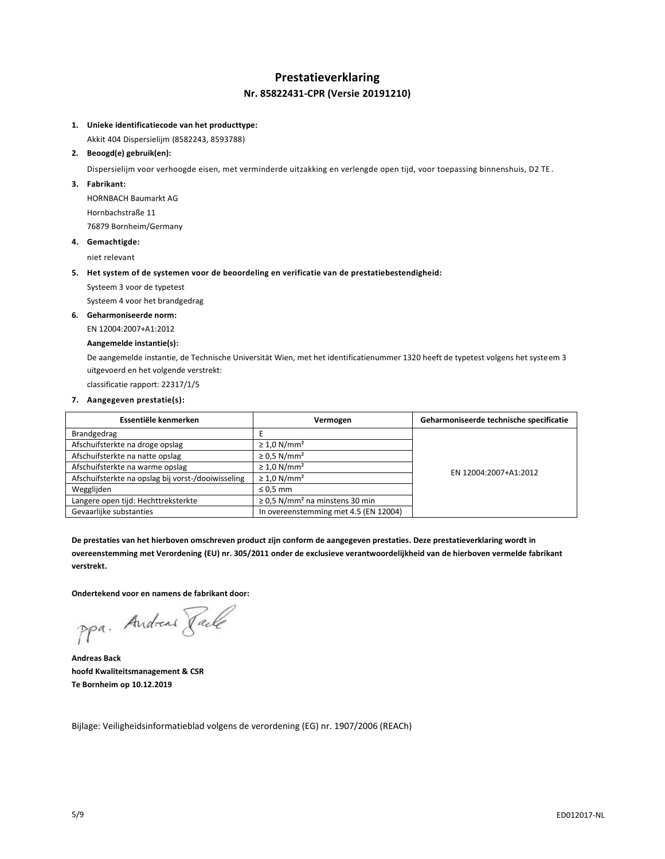# **Prestatieverklaring Nr. 85822431-CPR (Versie 20191210)**

## **1. Unieke identificatiecode van het producttype:**

Akkit 404 Dispersielijm (8582243, 8593788)

## **2. Beoogd(e) gebruik(en):**

Dispersielijm voor verhoogde eisen, met verminderde uitzakking en verlengde open tijd, voor toepassing binnenshuis, D2 TE .

## **3. Fabrikant:**

HORNBACH Baumarkt AG Hornbachstraße 11 76879 Bornheim/Germany

#### **4. Gemachtigde:**

niet relevant

### **5. Het system of de systemen voor de beoordeling en verificatie van de prestatiebestendigheid:**

Systeem 3 voor de typetest

Systeem 4 voor het brandgedrag

## **6. Geharmoniseerde norm:**

EN 12004:2007+A1:2012

## **Aangemelde instantie(s):**

De aangemelde instantie, de Technische Universität Wien, met het identificatienummer 1320 heeft de typetest volgens het systeem 3 uitgevoerd en het volgende verstrekt:

classificatie rapport: 22317/1/5

## **7. Aangegeven prestatie(s):**

| Essentiële kenmerken                               | Vermogen                                        | Geharmoniseerde technische specificatie |
|----------------------------------------------------|-------------------------------------------------|-----------------------------------------|
| Brandgedrag                                        |                                                 |                                         |
| Afschuifsterkte na droge opslag                    | $\geq 1.0$ N/mm <sup>2</sup>                    |                                         |
| Afschuifsterkte na natte opslag                    | $\geq$ 0.5 N/mm <sup>2</sup>                    |                                         |
| Afschuifsterkte na warme opslag                    | $\geq 1.0$ N/mm <sup>2</sup>                    | EN 12004:2007+A1:2012                   |
| Afschuifsterkte na opslag bij vorst-/dooiwisseling | $\geq 1.0$ N/mm <sup>2</sup>                    |                                         |
| Wegglijden                                         | $\leq 0.5$ mm                                   |                                         |
| Langere open tijd: Hechttreksterkte                | $\geq$ 0.5 N/mm <sup>2</sup> na minstens 30 min |                                         |
| Gevaarlijke substanties                            | In overeenstemming met 4.5 (EN 12004)           |                                         |

**De prestaties van het hierboven omschreven product zijn conform de aangegeven prestaties. Deze prestatieverklaring wordt in overeenstemming met Verordening (EU) nr. 305/2011 onder de exclusieve verantwoordelijkheid van de hierboven vermelde fabrikant verstrekt.**

**Ondertekend voor en namens de fabrikant door:**

ppa. Andreas Jack

**Andreas Back hoofd Kwaliteitsmanagement & CSR Te Bornheim op 10.12.2019**

Bijlage: Veiligheidsinformatieblad volgens de verordening (EG) nr. 1907/2006 (REACh)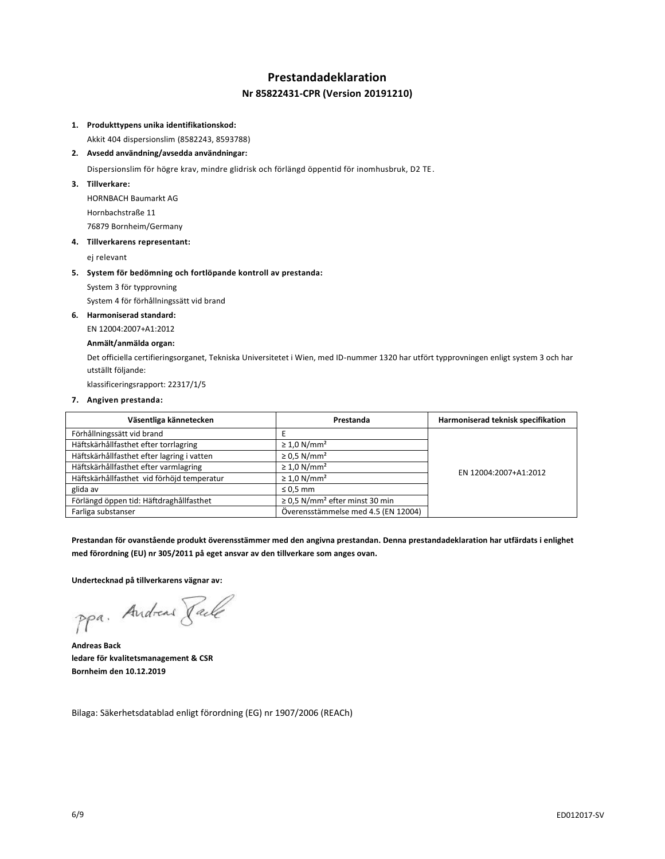# **Prestandadeklaration Nr 85822431-CPR (Version 20191210)**

## **1. Produkttypens unika identifikationskod:**

Akkit 404 dispersionslim (8582243, 8593788)

#### **2. Avsedd användning/avsedda användningar:**

Dispersionslim för högre krav, mindre glidrisk och förlängd öppentid för inomhusbruk, D2 TE.

**3. Tillverkare:**

HORNBACH Baumarkt AG Hornbachstraße 11 76879 Bornheim/Germany

#### **4. Tillverkarens representant:**

ej relevant

#### **5. System för bedömning och fortlöpande kontroll av prestanda:**

System 3 för typprovning

System 4 för förhållningssätt vid brand

#### **6. Harmoniserad standard:**

EN 12004:2007+A1:2012

#### **Anmält/anmälda organ:**

Det officiella certifieringsorganet, Tekniska Universitetet i Wien, med ID-nummer 1320 har utfört typprovningen enligt system 3 och har utställt följande:

klassificeringsrapport: 22317/1/5

#### **7. Angiven prestanda:**

| Väsentliga kännetecken                     | Prestanda                                       | Harmoniserad teknisk specifikation |
|--------------------------------------------|-------------------------------------------------|------------------------------------|
| Förhållningssätt vid brand                 |                                                 |                                    |
| Häftskärhållfasthet efter torrlagring      | $\geq 1.0$ N/mm <sup>2</sup>                    |                                    |
| Häftskärhållfasthet efter lagring i vatten | $\geq$ 0.5 N/mm <sup>2</sup>                    |                                    |
| Häftskärhållfasthet efter varmlagring      | $\geq 1.0$ N/mm <sup>2</sup>                    | EN 12004:2007+A1:2012              |
| Häftskärhållfasthet vid förhöjd temperatur | $\geq 1.0$ N/mm <sup>2</sup>                    |                                    |
| glida av                                   | $\leq 0.5$ mm                                   |                                    |
| Förlängd öppen tid: Häftdraghållfasthet    | $\geq$ 0,5 N/mm <sup>2</sup> efter minst 30 min |                                    |
| Farliga substanser                         | Överensstämmelse med 4.5 (EN 12004)             |                                    |

**Prestandan för ovanstående produkt överensstämmer med den angivna prestandan. Denna prestandadeklaration har utfärdats i enlighet med förordning (EU) nr 305/2011 på eget ansvar av den tillverkare som anges ovan.**

**Undertecknad på tillverkarens vägnar av:**

ppa. Andreas Pale

**Andreas Back ledare för kvalitetsmanagement & CSR Bornheim den 10.12.2019**

Bilaga: Säkerhetsdatablad enligt förordning (EG) nr 1907/2006 (REACh)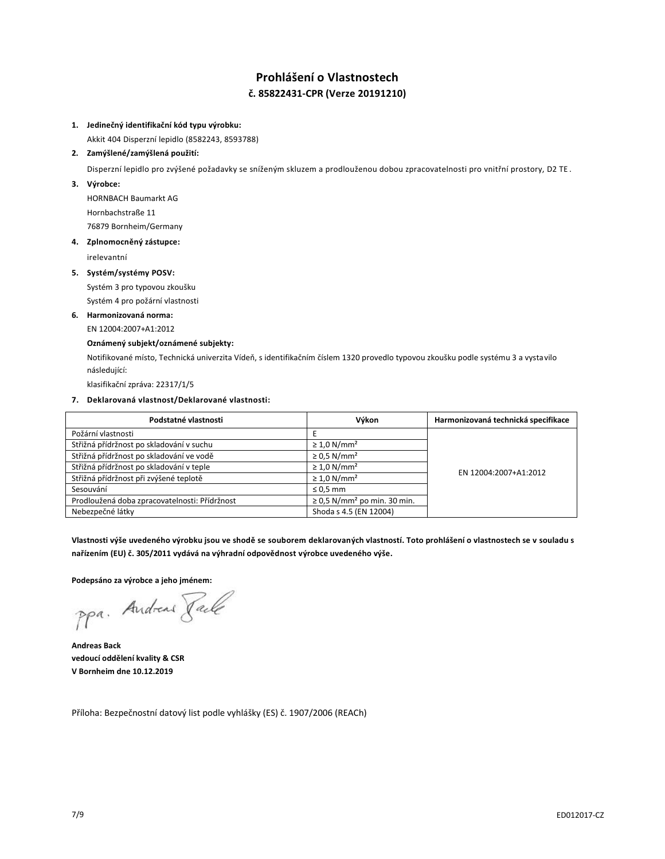# **Prohlášení o Vlastnostech č. 85822431-CPR (Verze 20191210)**

### **1. Jedinečný identifikační kód typu výrobku:**

Akkit 404 Disperzní lepidlo (8582243, 8593788)

### **2. Zamýšlené/zamýšlená použití:**

Disperzní lepidlo pro zvýšené požadavky se sníženým skluzem a prodlouženou dobou zpracovatelnosti pro vnitřní prostory, D2 TE.

**3. Výrobce:**

HORNBACH Baumarkt AG Hornbachstraße 11 76879 Bornheim/Germany

#### **4. Zplnomocněný zástupce:**

irelevantní

#### **5. Systém/systémy POSV:**

Systém 3 pro typovou zkoušku

Systém 4 pro požární vlastnosti

## **6. Harmonizovaná norma:**

EN 12004:2007+A1:2012

#### **Oznámený subjekt/oznámené subjekty:**

Notifikované místo, Technická univerzita Vídeň, s identifikačním číslem 1320 provedlo typovou zkoušku podle systému 3 a vystavilo následující:

klasifikační zpráva: 22317/1/5

## **7. Deklarovaná vlastnost/Deklarované vlastnosti:**

| Podstatné vlastnosti                          | Výkon                                        | Harmonizovaná technická specifikace |
|-----------------------------------------------|----------------------------------------------|-------------------------------------|
| Požární vlastnosti                            |                                              |                                     |
| Střižná přídržnost po skladování v suchu      | $\geq 1.0$ N/mm <sup>2</sup>                 |                                     |
| Střižná přídržnost po skladování ve vodě      | $\geq$ 0.5 N/mm <sup>2</sup>                 | EN 12004:2007+A1:2012               |
| Střižná přídržnost po skladování v teple      | $\geq 1.0$ N/mm <sup>2</sup>                 |                                     |
| Střižná přídržnost při zvýšené teplotě        | $\geq 1.0$ N/mm <sup>2</sup>                 |                                     |
| Sesouvání                                     | $\leq$ 0.5 mm                                |                                     |
| Prodloužená doba zpracovatelnosti: Přídržnost | $\geq$ 0,5 N/mm <sup>2</sup> po min. 30 min. |                                     |
| Nebezpečné látky                              | Shoda s 4.5 (EN 12004)                       |                                     |

**Vlastnosti výše uvedeného výrobku jsou ve shodě se souborem deklarovaných vlastností. Toto prohlášení o vlastnostech se v souladu s nařízením (EU) č. 305/2011 vydává na výhradní odpovědnost výrobce uvedeného výše.**

**Podepsáno za výrobce a jeho jménem:**

ppa. Andreas Face

**Andreas Back vedoucí oddělení kvality & CSR V Bornheim dne 10.12.2019**

Příloha: Bezpečnostní datový list podle vyhlášky (ES) č. 1907/2006 (REACh)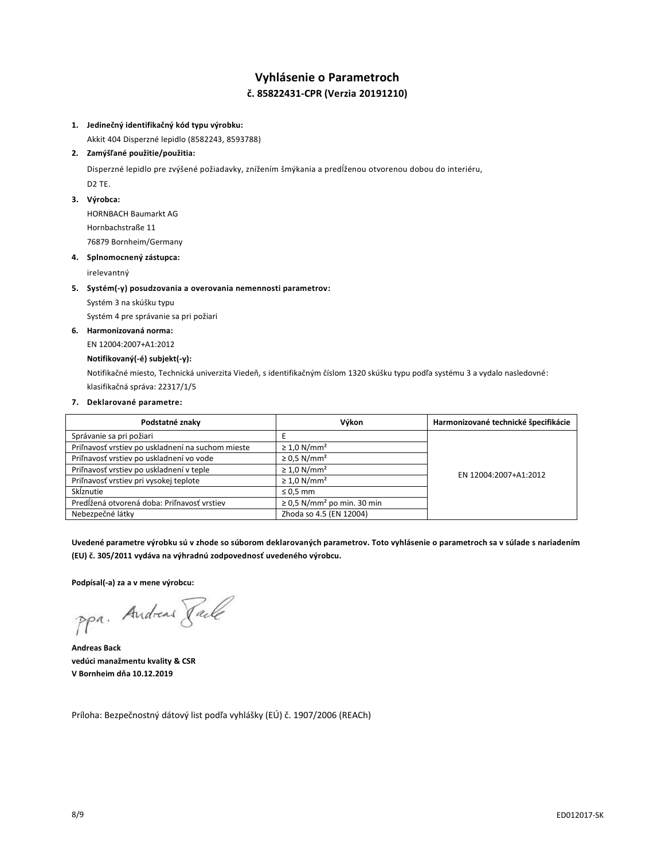# **Vyhlásenie o Parametroch č. 85822431-CPR (Verzia 20191210)**

### **1. Jedinečný identifikačný kód typu výrobku:**

Akkit 404 Disperzné lepidlo (8582243, 8593788)

## **2. Zamýšľané použitie/použitia:**

Disperzné lepidlo pre zvýšené požiadavky, znížením šmýkania a predĺženou otvorenou dobou do interiéru, D2 TE.

### **3. Výrobca:**

HORNBACH Baumarkt AG Hornbachstraße 11 76879 Bornheim/Germany

#### **4. Splnomocnený zástupca:**

irelevantný

#### **5. Systém(-y) posudzovania a overovania nemennosti parametrov:**

Systém 3 na skúšku typu

Systém 4 pre správanie sa pri požiari

## **6. Harmonizovaná norma:**

EN 12004:2007+A1:2012

## **Notifikovaný(-é) subjekt(-y):**

Notifikačné miesto, Technická univerzita Viedeň, s identifikačným číslom 1320 skúšku typu podľa systému 3 a vydalo nasledovné: klasifikačná správa: 22317/1/5

### **7. Deklarované parametre:**

| Podstatné znaky                                   | Výkon                                       | Harmonizované technické špecifikácie |
|---------------------------------------------------|---------------------------------------------|--------------------------------------|
| Správanie sa pri požiari                          |                                             |                                      |
| Priľnavosť vrstiev po uskladnení na suchom mieste | $\geq 1.0$ N/mm <sup>2</sup>                |                                      |
| Priľnavosť vrstiev po uskladnení vo vode          | $\geq$ 0.5 N/mm <sup>2</sup>                | EN 12004:2007+A1:2012                |
| Priľnavosť vrstiev po uskladnení v teple          | $\geq 1.0$ N/mm <sup>2</sup>                |                                      |
| Priľnavosť vrstiev pri vysokej teplote            | $\geq 1.0$ N/mm <sup>2</sup>                |                                      |
| Skĺznutie                                         | $\leq 0.5$ mm                               |                                      |
| Predĺžená otvorená doba: Priľnavosť vrstiev       | $\geq$ 0,5 N/mm <sup>2</sup> po min. 30 min |                                      |
| Nebezpečné látky                                  | Zhoda so 4.5 (EN 12004)                     |                                      |

**Uvedené parametre výrobku sú v zhode so súborom deklarovaných parametrov. Toto vyhlásenie o parametroch sa v súlade s nariadením (EU) č. 305/2011 vydáva na výhradnú zodpovednosť uvedeného výrobcu.**

**Podpísal(-a) za a v mene výrobcu:**

ppa. Andreas Faile

**Andreas Back vedúci manažmentu kvality & CSR V Bornheim dňa 10.12.2019**

Príloha: Bezpečnostný dátový list podľa vyhlášky (EÚ) č. 1907/2006 (REACh)